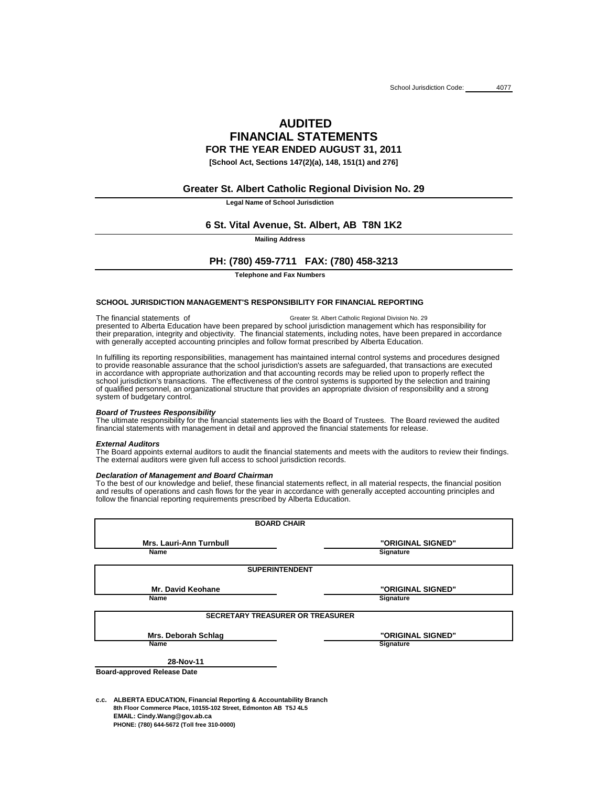# **AUDITED FINANCIAL STATEMENTS FOR THE YEAR ENDED AUGUST 31, 2011**

**[School Act, Sections 147(2)(a), 148, 151(1) and 276]**

**Legal Name of School Jurisdiction**

**Mailing Address**

**Telephone and Fax Numbers**

## **SCHOOL JURISDICTION MANAGEMENT'S RESPONSIBILITY FOR FINANCIAL REPORTING**

## *Board of Trustees Responsibility*

## *External Auditors*

## *Declaration of Management and Board Chairman*

**c.c. ALBERTA EDUCATION, Financial Reporting & Accountability Branch 8th Floor Commerce Place, 10155-102 Street, Edmonton AB T5J 4L5 EMAIL: Cindy.Wang@gov.ab.ca PHONE: (780) 644-5672 (Toll free 310-0000)**

To the best of our knowledge and belief, these financial statements reflect, in all material respects, the financial position and results of operations and cash flows for the year in accordance with generally accepted accounting principles and

| <b>BOARD CHAIR</b>                      |                   |
|-----------------------------------------|-------------------|
| <b>Mrs. Lauri-Ann Turnbull</b>          | "ORIGINAL SIGNED" |
| <b>Name</b>                             | <b>Signature</b>  |
| <b>SUPERINTENDENT</b>                   |                   |
| <b>Mr. David Keohane</b>                | "ORIGINAL SIGNED" |
| <b>Name</b>                             | <b>Signature</b>  |
| <b>SECRETARY TREASURER OR TREASURER</b> |                   |
| <b>Mrs. Deborah Schlag</b>              | "ORIGINAL SIGNED" |
| <b>Name</b>                             | <b>Signature</b>  |
| 28-Nov-11                               |                   |
| <b>Board-approved Release Date</b>      |                   |

The ultimate responsibility for the financial statements lies with the Board of Trustees. The Board reviewed the audited financial statements with management in detail and approved the financial statements for release.

The financial statements of presented to Alberta Education have been prepared by school jurisdiction management which has responsibility for their preparation, integrity and objectivity. The financial statements, including notes, have been prepared in accordance Greater St. Albert Catholic Regional Division No. 29 with generally accepted accounting principles and follow format prescribed by Alberta Education.

The Board appoints external auditors to audit the financial statements and meets with the auditors to review their findings. The external auditors were given full access to school jurisdiction records.

of qualified personnel, an organizational structure that provides an appropriate division of responsibility and a strong system of budgetary control. In fulfilling its reporting responsibilities, management has maintained internal control systems and procedures designed to provide reasonable assurance that the school jurisdiction's assets are safeguarded, that transactions are executed in accordance with appropriate authorization and that accounting records may be relied upon to properly reflect the school jurisdiction's transactions. The effectiveness of the control systems is supported by the selection and training

# **Greater St. Albert Catholic Regional Division No. 29**

# **6 St. Vital Avenue, St. Albert, AB T8N 1K2**

# **PH: (780) 459-7711 FAX: (780) 458-3213**

follow the financial reporting requirements prescribed by Alberta Education.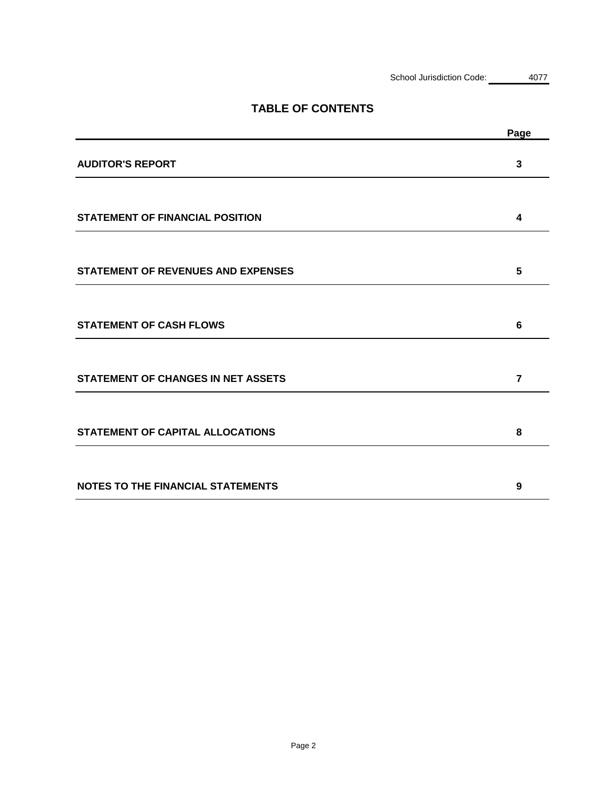|                                           | Page           |
|-------------------------------------------|----------------|
| <b>AUDITOR'S REPORT</b>                   | $\mathbf{3}$   |
|                                           |                |
| <b>STATEMENT OF FINANCIAL POSITION</b>    | 4              |
|                                           |                |
| <b>STATEMENT OF REVENUES AND EXPENSES</b> | 5              |
|                                           |                |
| <b>STATEMENT OF CASH FLOWS</b>            | 6              |
|                                           |                |
| <b>STATEMENT OF CHANGES IN NET ASSETS</b> | $\overline{7}$ |
|                                           |                |
| <b>STATEMENT OF CAPITAL ALLOCATIONS</b>   | 8              |
|                                           |                |
| <b>NOTES TO THE FINANCIAL STATEMENTS</b>  | 9              |

# **TABLE OF CONTENTS**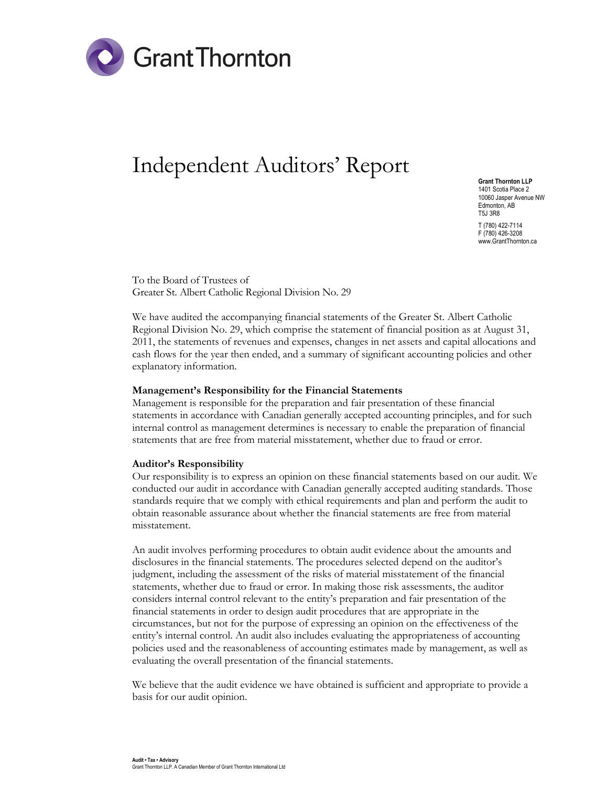

# Independent Auditors' Report

Grant Thornton LLP 1401 Scotia Place 2 10060 Jasper Avenue NW Edmonton, AB T5J 3R8 T (780) 422-7114 F (780) 426-3208 www.GrantThornton.ca

To the Board of Trustees of Greater St. Albert Catholic Regional Division No. 29

We have audited the accompanying financial statements of the Greater St. Albert Catholic Regional Division No. 29, which comprise the statement of financial position as at August 31, 2011, the statements of revenues and expenses, changes in net assets and capital allocations and cash flows for the year then ended, and a summary of significant accounting policies and other explanatory information.

#### Management's Responsibility for the Financial Statements

Management is responsible for the preparation and fair presentation of these financial statements in accordance with Canadian generally accepted accounting principles, and for such internal control as management determines is necessary to enable the preparation of financial statements that are free from material misstatement, whether due to fraud or error.

#### Auditor's Responsibility

Our responsibility is to express an opinion on these financial statements based on our audit. We conducted our audit in accordance with Canadian generally accepted auditing standards. Those standards require that we comply with ethical requirements and plan and perform the audit to obtain reasonable assurance about whether the financial statements are free from material misstatement.

An audit involves performing procedures to obtain audit evidence about the amounts and disclosures in the financial statements. The procedures selected depend on the auditor's judgment, including the assessment of the risks of material misstatement of the financial statements, whether due to fraud or error. In making those risk assessments, the auditor considers internal control relevant to the entity's preparation and fair presentation of the financial statements in order to design audit procedures that are appropriate in the circumstances, but not for the purpose of expressing an opinion on the effectiveness of the entity's internal control. An audit also includes evaluating the appropriateness of accounting policies used and the reasonableness of accounting estimates made by management, as well as evaluating the overall presentation of the financial statements.

We believe that the audit evidence we have obtained is sufficient and appropriate to provide a basis for our audit opinion.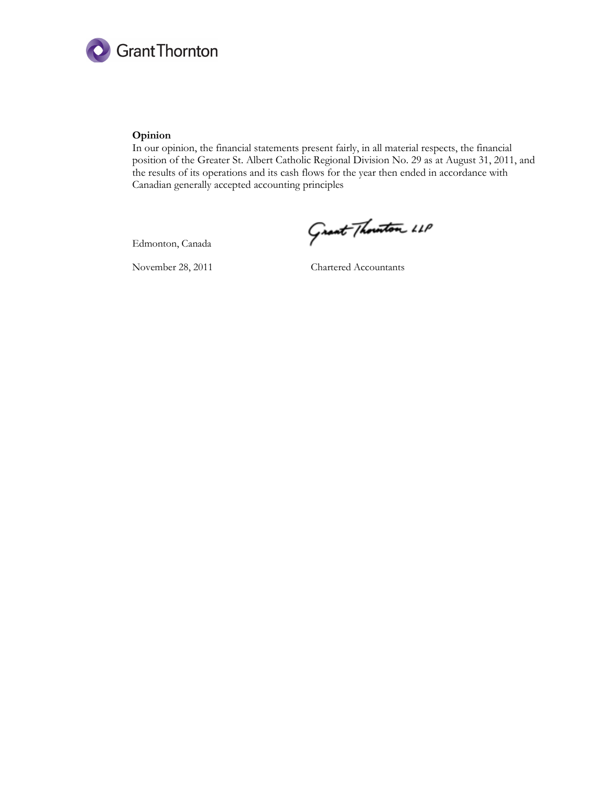

#### Opinion

In our opinion, the financial statements present fairly, in all material respects, the financial position of the Greater St. Albert Catholic Regional Division No. 29 as at August 31, 2011, and the results of its operations and its cash flows for the year then ended in accordance with Canadian generally accepted accounting principles

Edmonton, Canada

November 28, 2011 Chartered Accountants

Grant Thouston 11P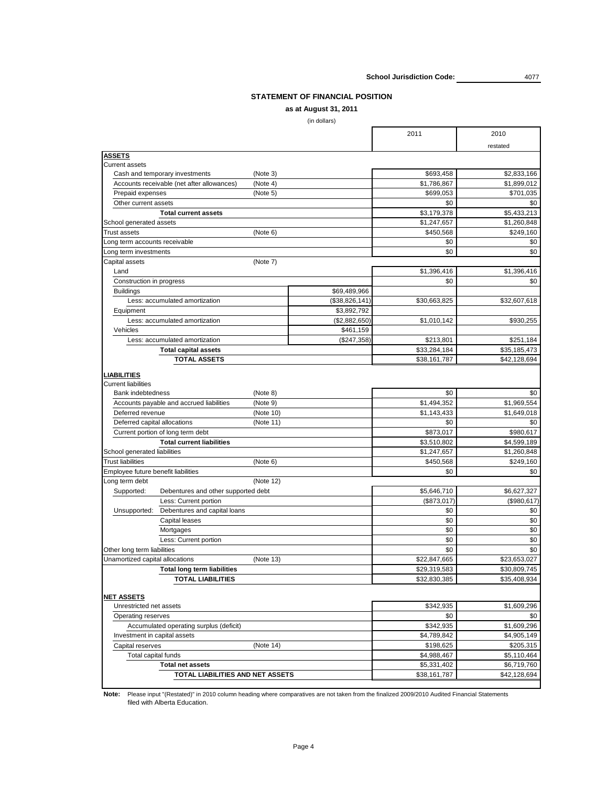**School Jurisdiction Code:** 4077

# **STATEMENT OF FINANCIAL POSITION**

# **as at August 31, 2011**

(in dollars)

|                                                   |                | 2011         | 2010         |
|---------------------------------------------------|----------------|--------------|--------------|
|                                                   |                |              | restated     |
| <b>ASSETS</b>                                     |                |              |              |
| <b>Current assets</b>                             |                |              |              |
| Cash and temporary investments                    | (Note 3)       | \$693,458    | \$2,833,166  |
| Accounts receivable (net after allowances)        | (Note 4)       | \$1,786,867  | \$1,899,012  |
| Prepaid expenses                                  | (Note 5)       | \$699,053    | \$701,035    |
| Other current assets                              |                | \$0          | \$0          |
| <b>Total current assets</b>                       |                | \$3,179,378  | \$5,433,213  |
| School generated assets                           |                | \$1,247,657  | \$1,260,848  |
| <b>Trust assets</b>                               | (Note 6)       | \$450,568    | \$249,160    |
| Long term accounts receivable                     |                | \$0          | \$0          |
| Long term investments                             |                | \$0          | \$0          |
| Capital assets                                    | (Note 7)       |              |              |
| Land                                              |                | \$1,396,416  | \$1,396,416  |
| Construction in progress                          |                | \$0          | \$0          |
| <b>Buildings</b>                                  | \$69,489,966   |              |              |
| Less: accumulated amortization                    | (\$38,826,141) | \$30,663,825 | \$32,607,618 |
| Equipment                                         | \$3,892,792    |              |              |
| Less: accumulated amortization                    | (\$2,882,650)  | \$1,010,142  | \$930,255    |
| Vehicles                                          | \$461,159      |              |              |
| Less: accumulated amortization                    | (\$247,358)    | \$213,801    | \$251,184    |
| <b>Total capital assets</b>                       |                | \$33,284,184 | \$35,185,473 |
| <b>TOTAL ASSETS</b>                               |                | \$38,161,787 | \$42,128,694 |
| <b>LIABILITIES</b><br><b>Current liabilities</b>  |                |              |              |
| <b>Bank indebtedness</b>                          | (Note 8)       | \$0          | \$0          |
| Accounts payable and accrued liabilities          | (Note 9)       | \$1,494,352  | \$1,969,554  |
| Deferred revenue                                  | (Note 10)      | \$1,143,433  | \$1,649,018  |
| Deferred capital allocations                      | (Note 11)      | \$0          | \$0          |
| Current portion of long term debt                 |                | \$873,017    | \$980,617    |
| <b>Total current liabilities</b>                  |                | \$3,510,802  | \$4,599,189  |
| School generated liabilities                      |                | \$1,247,657  | \$1,260,848  |
| <b>Trust liabilities</b>                          | (Note 6)       | \$450,568    | \$249,160    |
| Employee future benefit liabilities               |                | \$0          | \$0          |
| Long term debt                                    | (Note 12)      |              |              |
| Debentures and other supported debt<br>Supported: |                | \$5,646,710  | \$6,627,327  |
| Less: Current portion                             |                | (\$873,017)  | (\$980,617)  |
| Debentures and capital loans<br>Unsupported:      |                | \$0          | \$0          |
| <b>Capital leases</b>                             |                | \$0          | \$0          |
| Mortgages                                         |                | \$0          | \$0          |
| Less: Current portion                             |                | \$0          | \$0          |
| Other long term liabilities                       |                | \$0          | \$0          |
| Unamortized capital allocations                   | (Note 13)      | \$22,847,665 | \$23,653,027 |
| <b>Total long term liabilities</b>                |                | \$29,319,583 | \$30,809,745 |
| <b>TOTAL LIABILITIES</b>                          |                | \$32,830,385 | \$35,408,934 |
| <b>NET ASSETS</b>                                 |                |              |              |
| Unrestricted net assets                           |                | \$342,935    | \$1,609,296  |
| Operating reserves                                |                | \$0          | \$0          |
| Accumulated operating surplus (deficit)           |                | \$342,935    | \$1,609,296  |
| Investment in capital assets                      |                | \$4,789,842  | \$4,905,149  |
| Capital reserves                                  | (Note 14)      | \$198,625    | \$205,315    |
| Total capital funds                               |                | \$4,988,467  | \$5,110,464  |
| <b>Total net assets</b>                           |                | \$5,331,402  | \$6,719,760  |
| <b>TOTAL LIABILITIES AND NET ASSETS</b>           |                | \$38,161,787 | \$42,128,694 |
|                                                   |                |              |              |

**Note:** Please input "(Restated)" in 2010 column heading where comparatives are not taken from the finalized 2009/2010 Audited Financial Statements filed with Alberta Education.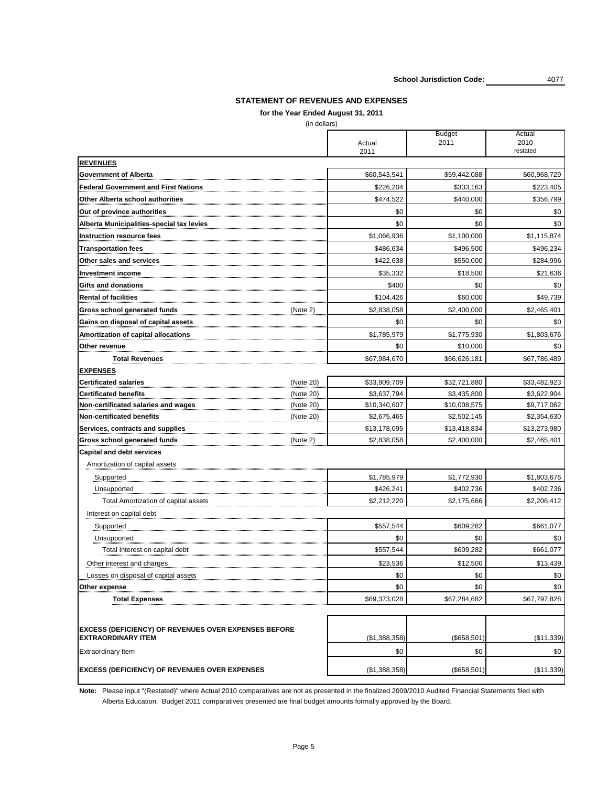Note: Please input "(Restated)" where Actual 2010 comparatives are not as presented in the finalized 2009/2010 Audited Financial Statements filed with Alberta Education. Budget 2011 comparatives presented are final budget amounts formally approved by the Board.

|                                                             | <b>Budget</b><br>2011<br>Actual |              | Actual<br>2010 |  |
|-------------------------------------------------------------|---------------------------------|--------------|----------------|--|
|                                                             | 2011                            |              | restated       |  |
| <b>REVENUES</b>                                             |                                 |              |                |  |
| <b>Government of Alberta</b>                                | \$60,543,541                    | \$59,442,088 | \$60,968,729   |  |
| <b>Federal Government and First Nations</b>                 | \$226,204                       | \$333,163    | \$223,405      |  |
| <b>Other Alberta school authorities</b>                     | \$474,522                       | \$440,000    | \$356,799      |  |
| Out of province authorities                                 | \$0                             | \$0          | \$0            |  |
| Alberta Municipalities-special tax levies                   | \$0                             | \$0          | \$0            |  |
| Instruction resource fees                                   | \$1,066,936                     | \$1,100,000  | \$1,115,874    |  |
| <b>Transportation fees</b>                                  | \$486,634                       | \$496,500    | \$496,234      |  |
| <b>Other sales and services</b>                             | \$422,638                       | \$550,000    | \$284,996      |  |
| Investment income                                           | \$35,332                        | \$18,500     | \$21,636       |  |
| <b>IGifts and donations</b>                                 | \$400                           | \$0          | \$0            |  |
| <b>Rental of facilities</b>                                 | \$104,426                       | \$60,000     | \$49,739       |  |
| <b>Gross school generated funds</b><br>(Note 2)             | \$2,838,058                     | \$2,400,000  | \$2,465,401    |  |
| Gains on disposal of capital assets                         | \$0                             | \$0          | \$0            |  |
| <b>Amortization of capital allocations</b>                  | \$1,785,979                     | \$1,775,930  | \$1,803,676    |  |
| <b>Other revenue</b>                                        | \$0                             | \$10,000     | \$0            |  |
| <b>Total Revenues</b>                                       | \$67,984,670                    | \$66,626,181 | \$67,786,489   |  |
| <b>EXPENSES</b>                                             |                                 |              |                |  |
| <b>Certificated salaries</b><br>(Note 20)                   | \$33,909,709                    | \$32,721,880 | \$33,482,923   |  |
| <b>Certificated benefits</b><br>(Note 20)                   | \$3,637,794                     | \$3,435,800  | \$3,622,904    |  |
| Non-certificated salaries and wages<br>(Note 20)            | \$10,340,607                    | \$10,008,575 | \$9,717,062    |  |
| Non-certificated benefits<br>(Note 20)                      | \$2,675,465                     | \$2,502,145  | \$2,354,630    |  |
| <b>Services, contracts and supplies</b>                     | \$13,178,095                    | \$13,418,834 | \$13,273,980   |  |
| <b>Gross school generated funds</b><br>(Note 2)             | \$2,838,058                     | \$2,400,000  | \$2,465,401    |  |
| <b>Capital and debt services</b>                            |                                 |              |                |  |
| Amortization of capital assets                              |                                 |              |                |  |
| Supported                                                   | \$1,785,979                     | \$1,772,930  | \$1,803,676    |  |
| Unsupported                                                 | \$426,241                       | \$402,736    | \$402,736      |  |
| Total Amortization of capital assets                        | \$2,212,220                     | \$2,175,666  | \$2,206,412    |  |
| Interest on capital debt                                    |                                 |              |                |  |
| Supported                                                   | \$557,544                       | \$609,282    | \$661,077      |  |
| Unsupported                                                 | \$0                             | \$0          | \$0            |  |
| Total Interest on capital debt                              | \$557,544                       | \$609,282    | \$661,077      |  |
| Other interest and charges                                  | \$23,536                        | \$12,500     | \$13,439       |  |
| Losses on disposal of capital assets                        | \$0                             | \$0          | \$0            |  |
| <b>Other expense</b>                                        | \$0                             | \$0          | \$0            |  |
| <b>Total Expenses</b>                                       | \$69,373,028                    | \$67,284,682 | \$67,797,828   |  |
|                                                             |                                 |              |                |  |
| <b>EXCESS (DEFICIENCY) OF REVENUES OVER EXPENSES BEFORE</b> |                                 |              |                |  |
| <b>EXTRAORDINARY ITEM</b>                                   | (\$1,388,358)                   | (\$658,501)  | (\$11,339)     |  |
| <b>Extraordinary Item</b>                                   | \$0                             | \$0          | \$0            |  |
| <b>EXCESS (DEFICIENCY) OF REVENUES OVER EXPENSES</b>        | (\$1,388,358)                   | (\$658,501)  | (\$11,339)     |  |

**School Jurisdiction Code:** 4077

# **STATEMENT OF REVENUES AND EXPENSES**

**for the Year Ended August 31, 2011**

(in dollars)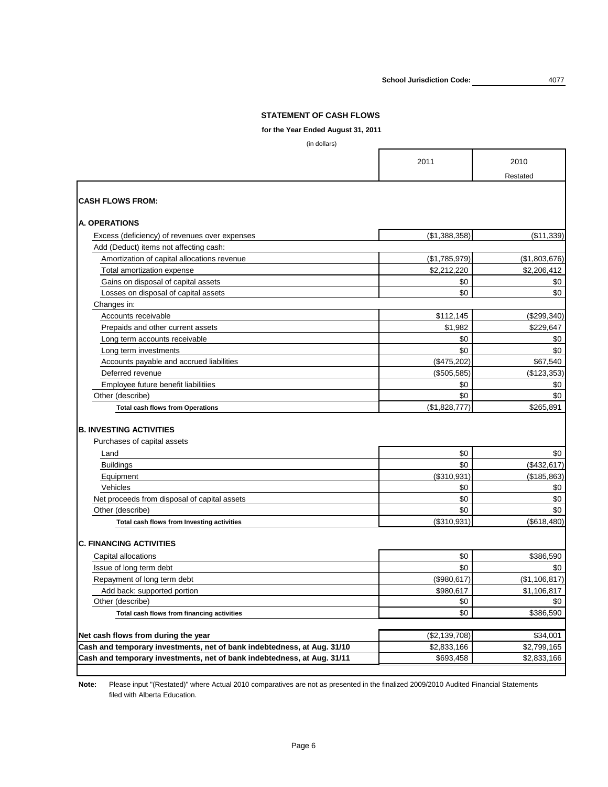**for the Year Ended August 31, 2011**

(in dollars)

|                                                                         | 2011               | 2010          |
|-------------------------------------------------------------------------|--------------------|---------------|
|                                                                         |                    | Restated      |
| <b>CASH FLOWS FROM:</b>                                                 |                    |               |
| <b>A. OPERATIONS</b>                                                    |                    |               |
| Excess (deficiency) of revenues over expenses                           | (\$1,388,358)      | (\$11,339)    |
| Add (Deduct) items not affecting cash:                                  |                    |               |
| Amortization of capital allocations revenue                             | (\$1,785,979)      | (\$1,803,676) |
| Total amortization expense                                              | \$2,212,220        | \$2,206,412   |
| Gains on disposal of capital assets                                     | \$0                | \$0           |
| Losses on disposal of capital assets                                    | \$0                | \$0           |
| Changes in:                                                             |                    |               |
| Accounts receivable                                                     | \$112,145          | (\$299,340)   |
| Prepaids and other current assets                                       | \$1,982            | \$229,647     |
| Long term accounts receivable                                           | \$0                | \$0           |
| Long term investments                                                   | \$0                | \$0           |
| Accounts payable and accrued liabilities                                | (\$475,202)        | \$67,540      |
| Deferred revenue                                                        | (\$505,585)        | (\$123,353)   |
| Employee future benefit liabilitiies                                    | \$0                | \$0           |
| Other (describe)                                                        | \$0                | \$0           |
| <b>Total cash flows from Operations</b>                                 | (\$1,828,777)      | \$265,891     |
| <b>B. INVESTING ACTIVITIES</b><br>Purchases of capital assets           |                    |               |
| Land                                                                    | \$0                | \$0           |
| <b>Buildings</b>                                                        | \$0                | (\$432,617)   |
| Equipment                                                               | (\$310,931)        | (\$185,863)   |
| Vehicles                                                                | \$0                | \$0           |
| Net proceeds from disposal of capital assets                            | \$0                | \$0           |
| Other (describe)                                                        | \$0                | \$0           |
| Total cash flows from Investing activities                              | $($ \$310,931) $ $ | (\$618,480)   |
| <b>C. FINANCING ACTIVITIES</b>                                          |                    |               |
| Capital allocations                                                     | \$0                | \$386,590     |
| Issue of long term debt                                                 | \$0                | \$0           |
| Repayment of long term debt                                             | (\$980, 617)       | (\$1,106,817) |
| Add back: supported portion                                             | \$980,617          | \$1,106,817   |
| Other (describe)                                                        | \$0                | \$0           |
| Total cash flows from financing activities                              | \$0                | \$386,590     |
|                                                                         |                    |               |
| Net cash flows from during the year                                     | (\$2,139,708)      | \$34,001      |
| Cash and temporary investments, net of bank indebtedness, at Aug. 31/10 | \$2,833,166        | \$2,799,165   |
| Cash and temporary investments, net of bank indebtedness, at Aug. 31/11 | \$693,458          | \$2,833,166   |
|                                                                         |                    |               |

**Note:** Please input "(Restated)" where Actual 2010 comparatives are not as presented in the finalized 2009/2010 Audited Financial Statements filed with Alberta Education.

**School Jurisdiction Code:**

## **STATEMENT OF CASH FLOWS**

Page 6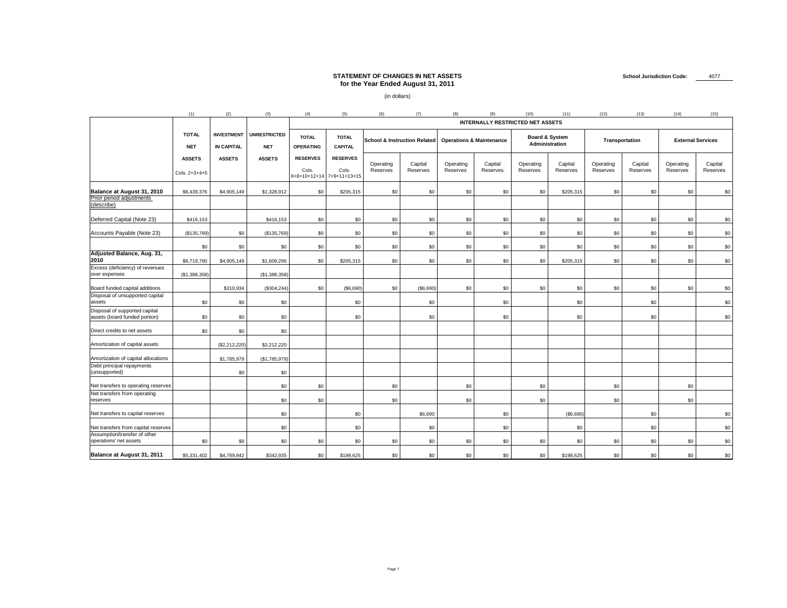|                                                                                   | (1)                             | (2)                                    | (3)                               | (4)                              | (5)                                                   | (6)                          | (7)                                     | (8)                   |                                     | (10)                                    | (11)                                        | (12)                    | (13)                       | (14)                  | (15)                     |
|-----------------------------------------------------------------------------------|---------------------------------|----------------------------------------|-----------------------------------|----------------------------------|-------------------------------------------------------|------------------------------|-----------------------------------------|-----------------------|-------------------------------------|-----------------------------------------|---------------------------------------------|-------------------------|----------------------------|-----------------------|--------------------------|
|                                                                                   |                                 |                                        |                                   |                                  |                                                       |                              |                                         |                       |                                     | <b>INTERNALLY RESTRICTED NET ASSETS</b> |                                             |                         |                            |                       |                          |
|                                                                                   | <b>TOTAL</b><br><b>NET</b>      | <b>INVESTMENT</b><br><b>IN CAPITAL</b> | <b>UNRESTRICTED</b><br><b>NET</b> | <b>TOTAL</b><br><b>OPERATING</b> | <b>TOTAL</b><br><b>CAPITAL</b>                        |                              | <b>School &amp; Instruction Related</b> |                       | <b>Operations &amp; Maintenance</b> |                                         | <b>Board &amp; System</b><br>Administration |                         | <b>Transportation</b>      |                       | <b>External Services</b> |
|                                                                                   | <b>ASSETS</b><br>Cols. 2+3+4+5  | <b>ASSETS</b>                          | <b>ASSETS</b>                     | <b>RESERVES</b><br>Cols.         | <b>RESERVES</b><br>Cols.<br>6+8+10+12+14 7+9+11+13+15 | Operating<br><b>Reserves</b> | Capital<br><b>Reserves</b>              | Operating<br>Reserves | Capital<br>Reserves                 | Operating<br>Reserves                   | Capital<br><b>Reserves</b>                  | Operating<br>Reserves   | Capital<br><b>Reserves</b> | Operating<br>Reserves | Capital<br>Reserves      |
| Balance at August 31, 2010<br><b>Prior period adjustments</b><br>(describe)       | \$6,439,376                     | \$4,905,149                            | \$1,328,912                       | \$0                              | \$205,315                                             | \$0                          | \$0                                     | \$0                   | \$0                                 | \$0                                     | \$205,315                                   | \$0                     | \$0                        | \$0                   | \$0                      |
| Deferred Capital (Note 23)                                                        | \$416,153                       |                                        | \$416,153                         | \$0                              | \$0                                                   | \$0                          | \$0                                     | \$0                   | \$0                                 | \$0                                     | \$0                                         | \$0                     | \$0                        | \$0                   | \$0                      |
| Accounts Payable (Note 23)                                                        | $($ \$135,769) $ $              | \$0                                    | ( \$135,769)                      | \$0 <sub>1</sub>                 | \$0 <sub>1</sub>                                      | \$0                          | \$0                                     | \$0                   | \$0                                 | \$0                                     | \$0                                         | \$0                     | \$0                        | \$0                   | \$0                      |
| Adjusted Balance, Aug. 31,<br>2010                                                | \$0 <sub>1</sub><br>\$6,719,760 | \$0<br>\$4,905,149                     | \$0 <sub>1</sub><br>\$1,609,296   | \$0<br>\$0                       | \$0 <sub>1</sub><br>\$205,315                         | \$0<br>\$0                   | \$0<br>\$0                              | \$0<br>\$0            | \$0<br>\$0                          | \$0 <sub>1</sub><br>\$0                 | \$0\$<br>\$205,315                          | \$0 <sub>1</sub><br>\$0 | \$0<br>\$0                 | \$0<br>\$0            | \$0<br>\$0               |
| Excess (deficiency) of revenues<br>over expenses                                  | (\$1,388,358)                   |                                        | ( \$1,388,358)                    |                                  |                                                       |                              |                                         |                       |                                     |                                         |                                             |                         |                            |                       |                          |
| Board funded capital additions<br>Disposal of unsupported capital                 |                                 | \$310,934                              | (\$304,244)                       | \$0                              | (\$6,690)                                             | \$0                          | (\$6,690)                               | \$0                   | \$0                                 | \$0                                     | \$0                                         | \$0                     | \$0                        | \$0                   | \$0                      |
| assets<br>Disposal of supported capital<br>assets (board funded portion)          | \$0<br>\$0                      | \$0<br>\$0                             | \$0<br>\$0                        |                                  | \$0<br>\$0                                            |                              | \$0<br>\$0                              |                       | \$0<br>\$0                          |                                         | \$0<br>\$0                                  |                         | \$0<br>\$0                 |                       | \$0<br>\$0               |
| Direct credits to net assets                                                      | \$0                             | \$0                                    | \$0                               |                                  |                                                       |                              |                                         |                       |                                     |                                         |                                             |                         |                            |                       |                          |
| Amortization of capital assets                                                    |                                 | (\$2,212,220)                          | \$2,212,220                       |                                  |                                                       |                              |                                         |                       |                                     |                                         |                                             |                         |                            |                       |                          |
| Amortization of capital allocations<br>Debt principal repayments<br>(unsupported) |                                 | \$1,785,979<br>\$0                     | ( \$1,785,979)<br>\$0             |                                  |                                                       |                              |                                         |                       |                                     |                                         |                                             |                         |                            |                       |                          |
| Net transfers to operating reserves                                               |                                 |                                        | \$0                               | \$0                              |                                                       | \$0                          |                                         | \$0                   |                                     | \$0                                     |                                             | \$0                     |                            | \$0                   |                          |
| Net transfers from operating<br>reserves                                          |                                 |                                        | \$0                               | \$0 <sub>1</sub>                 |                                                       | \$0                          |                                         | \$0                   |                                     | \$0                                     |                                             | \$0                     |                            | \$0                   |                          |
| Net transfers to capital reserves                                                 |                                 |                                        | \$0                               |                                  | \$0 <sub>1</sub>                                      |                              | \$6,690                                 |                       | \$0                                 |                                         | (\$6,690)                                   |                         | \$0                        |                       | \$0                      |
| Net transfers from capital reserves                                               |                                 |                                        | \$0                               |                                  | \$0                                                   |                              | \$0                                     |                       | \$0                                 |                                         | \$0                                         |                         | \$0                        |                       | \$0                      |
| Assumption/transfer of other<br>operations' net assets                            | \$0                             | \$0 <sub>1</sub>                       | \$0                               | \$0                              | \$0 <sub>1</sub>                                      | \$0                          | \$0                                     | \$0                   | \$0                                 | \$0                                     | \$0                                         | \$0 <sub>1</sub>        | \$0                        | \$0                   | \$0                      |
| <b>Balance at August 31, 2011</b>                                                 | \$5,331,402                     | \$4,789,842                            | \$342,935                         | \$0                              | \$198,625                                             | \$0                          | \$0                                     | \$0                   | \$0                                 | \$0                                     | \$198,625                                   | \$0                     | \$0                        | \$0                   | \$0                      |

# **STATEMENT OF CHANGES IN NET ASSETS for the Year Ended August 31, 2011**

(in dollars)

# **School Jurisdiction Code:** 4077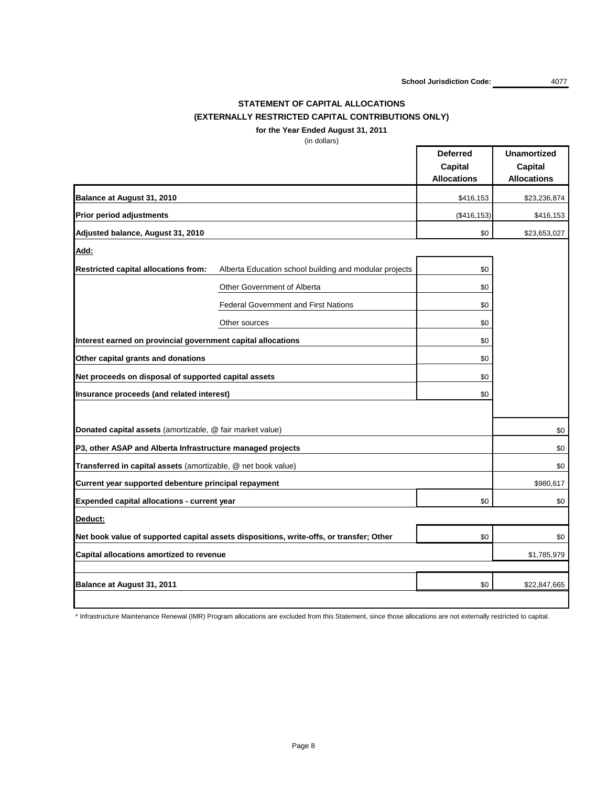**School Jurisdiction Code:** 4077

# **STATEMENT OF CAPITAL ALLOCATIONS (EXTERNALLY RESTRICTED CAPITAL CONTRIBUTIONS ONLY)**

**for the Year Ended August 31, 2011**

(in dollars)

|                                                               |                                                                                         | <b>Deferred</b><br><b>Capital</b><br><b>Allocations</b> | <b>Unamortized</b><br><b>Capital</b><br><b>Allocations</b> |
|---------------------------------------------------------------|-----------------------------------------------------------------------------------------|---------------------------------------------------------|------------------------------------------------------------|
| <b>Balance at August 31, 2010</b>                             |                                                                                         | \$416,153                                               | \$23,236,874                                               |
| <b>Prior period adjustments</b>                               |                                                                                         | (\$416, 153)                                            | \$416,153                                                  |
| Adjusted balance, August 31, 2010                             |                                                                                         | \$0                                                     | \$23,653,027                                               |
| <u>Add:</u>                                                   |                                                                                         |                                                         |                                                            |
| <b>Restricted capital allocations from:</b>                   | Alberta Education school building and modular projects                                  | \$0                                                     |                                                            |
|                                                               | <b>Other Government of Alberta</b>                                                      | \$0                                                     |                                                            |
|                                                               | <b>Federal Government and First Nations</b>                                             | \$0                                                     |                                                            |
|                                                               | Other sources                                                                           | \$0                                                     |                                                            |
| Interest earned on provincial government capital allocations  |                                                                                         | \$0                                                     |                                                            |
| Other capital grants and donations                            | \$0                                                                                     |                                                         |                                                            |
| Net proceeds on disposal of supported capital assets          |                                                                                         | \$0                                                     |                                                            |
| Insurance proceeds (and related interest)                     |                                                                                         | \$0                                                     |                                                            |
|                                                               |                                                                                         |                                                         |                                                            |
| Donated capital assets (amortizable, @ fair market value)     |                                                                                         |                                                         | \$0                                                        |
| P3, other ASAP and Alberta Infrastructure managed projects    |                                                                                         |                                                         | \$0                                                        |
| Transferred in capital assets (amortizable, @ net book value) |                                                                                         |                                                         | \$0                                                        |
| Current year supported debenture principal repayment          |                                                                                         |                                                         | \$980,617                                                  |
| <b>Expended capital allocations - current year</b>            |                                                                                         | \$0                                                     | \$0                                                        |
| Deduct:                                                       |                                                                                         |                                                         |                                                            |
|                                                               | Net book value of supported capital assets dispositions, write-offs, or transfer; Other | \$0                                                     | \$0                                                        |
| <b>Capital allocations amortized to revenue</b>               |                                                                                         |                                                         | \$1,785,979                                                |
| <b>Balance at August 31, 2011</b>                             |                                                                                         | \$0                                                     | \$22,847,665                                               |
|                                                               |                                                                                         |                                                         |                                                            |

\* Infrastructure Maintenance Renewal (IMR) Program allocations are excluded from this Statement, since those allocations are not externally restricted to capital.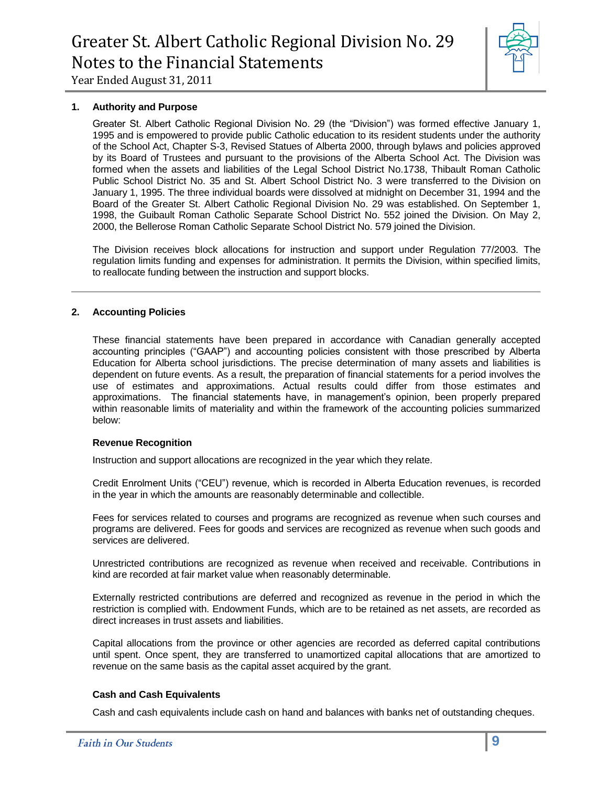

#### **1. Authority and Purpose**

Greater St. Albert Catholic Regional Division No. 29 (the "Division") was formed effective January 1, 1995 and is empowered to provide public Catholic education to its resident students under the authority of the School Act, Chapter S-3, Revised Statues of Alberta 2000, through bylaws and policies approved by its Board of Trustees and pursuant to the provisions of the Alberta School Act. The Division was formed when the assets and liabilities of the Legal School District No.1738, Thibault Roman Catholic Public School District No. 35 and St. Albert School District No. 3 were transferred to the Division on January 1, 1995. The three individual boards were dissolved at midnight on December 31, 1994 and the Board of the Greater St. Albert Catholic Regional Division No. 29 was established. On September 1, 1998, the Guibault Roman Catholic Separate School District No. 552 joined the Division. On May 2, 2000, the Bellerose Roman Catholic Separate School District No. 579 joined the Division.

The Division receives block allocations for instruction and support under Regulation 77/2003. The regulation limits funding and expenses for administration. It permits the Division, within specified limits, to reallocate funding between the instruction and support blocks.

#### **2. Accounting Policies**

These financial statements have been prepared in accordance with Canadian generally accepted accounting principles ("GAAP") and accounting policies consistent with those prescribed by Alberta Education for Alberta school jurisdictions. The precise determination of many assets and liabilities is dependent on future events. As a result, the preparation of financial statements for a period involves the use of estimates and approximations. Actual results could differ from those estimates and approximations. The financial statements have, in management's opinion, been properly prepared within reasonable limits of materiality and within the framework of the accounting policies summarized below:

#### **Revenue Recognition**

Instruction and support allocations are recognized in the year which they relate.

Credit Enrolment Units ("CEU") revenue, which is recorded in Alberta Education revenues, is recorded in the year in which the amounts are reasonably determinable and collectible.

Fees for services related to courses and programs are recognized as revenue when such courses and programs are delivered. Fees for goods and services are recognized as revenue when such goods and services are delivered.

Unrestricted contributions are recognized as revenue when received and receivable. Contributions in kind are recorded at fair market value when reasonably determinable.

Externally restricted contributions are deferred and recognized as revenue in the period in which the restriction is complied with. Endowment Funds, which are to be retained as net assets, are recorded as direct increases in trust assets and liabilities.

Capital allocations from the province or other agencies are recorded as deferred capital contributions until spent. Once spent, they are transferred to unamortized capital allocations that are amortized to revenue on the same basis as the capital asset acquired by the grant.

#### **Cash and Cash Equivalents**

Cash and cash equivalents include cash on hand and balances with banks net of outstanding cheques.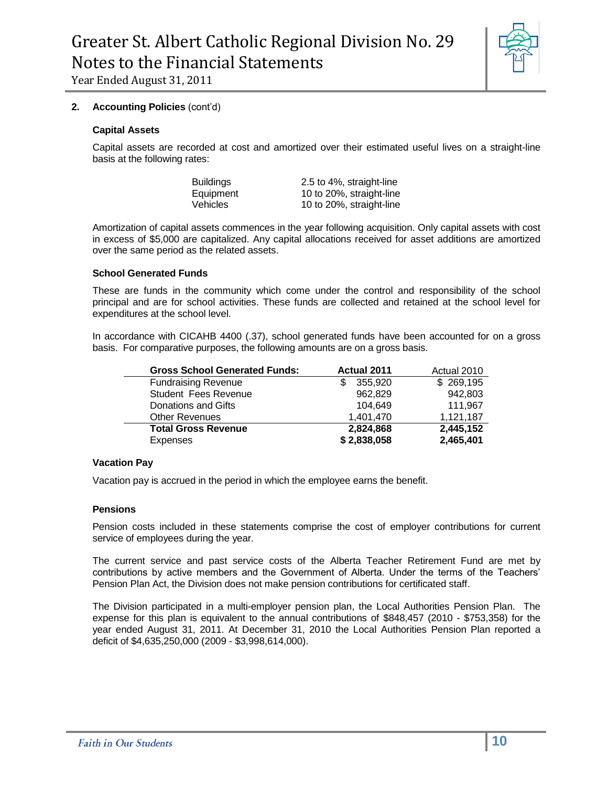

#### **2. Accounting Policies** (cont'd)

#### **Capital Assets**

Capital assets are recorded at cost and amortized over their estimated useful lives on a straight-line basis at the following rates:

Buildings 2.5 to 4%, straight-line Equipment 10 to 20%, straight-line Vehicles 10 to 20%, straight-line

Amortization of capital assets commences in the year following acquisition. Only capital assets with cost in excess of \$5,000 are capitalized. Any capital allocations received for asset additions are amortized over the same period as the related assets.

#### **School Generated Funds**

These are funds in the community which come under the control and responsibility of the school principal and are for school activities. These funds are collected and retained at the school level for expenditures at the school level.

In accordance with CICAHB 4400 (.37), school generated funds have been accounted for on a gross basis. For comparative purposes, the following amounts are on a gross basis.

| <b>Gross School Generated Funds:</b> | <b>Actual 2011</b> | Actual 2010 |
|--------------------------------------|--------------------|-------------|
| <b>Fundraising Revenue</b>           | 355,920            | \$269,195   |
| Student Fees Revenue                 | 962.829            | 942,803     |
| Donations and Gifts                  | 104.649            | 111,967     |
| <b>Other Revenues</b>                | 1,401,470          | 1,121,187   |
| <b>Total Gross Revenue</b>           | 2,824,868          | 2,445,152   |
| Expenses                             | \$2,838,058        | 2,465,401   |

#### **Vacation Pay**

Vacation pay is accrued in the period in which the employee earns the benefit.

#### **Pensions**

Pension costs included in these statements comprise the cost of employer contributions for current service of employees during the year.

The current service and past service costs of the Alberta Teacher Retirement Fund are met by contributions by active members and the Government of Alberta. Under the terms of the Teachers' Pension Plan Act, the Division does not make pension contributions for certificated staff.

The Division participated in a multi-employer pension plan, the Local Authorities Pension Plan. The expense for this plan is equivalent to the annual contributions of \$848,457 (2010 - \$753,358) for the year ended August 31, 2011. At December 31, 2010 the Local Authorities Pension Plan reported a deficit of \$4,635,250,000 (2009 - \$3,998,614,000).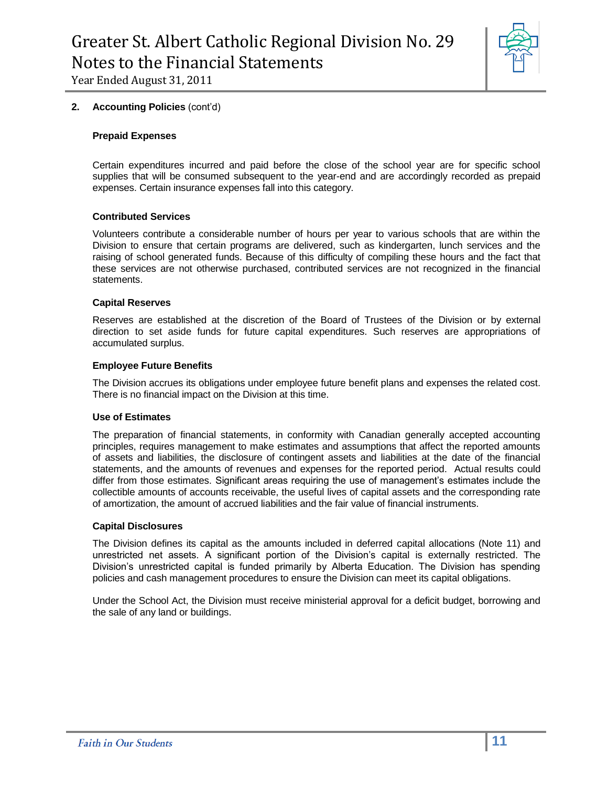

#### **2. Accounting Policies** (cont'd)

#### **Prepaid Expenses**

Certain expenditures incurred and paid before the close of the school year are for specific school supplies that will be consumed subsequent to the year-end and are accordingly recorded as prepaid expenses. Certain insurance expenses fall into this category.

#### **Contributed Services**

Volunteers contribute a considerable number of hours per year to various schools that are within the Division to ensure that certain programs are delivered, such as kindergarten, lunch services and the raising of school generated funds. Because of this difficulty of compiling these hours and the fact that these services are not otherwise purchased, contributed services are not recognized in the financial statements.

#### **Capital Reserves**

Reserves are established at the discretion of the Board of Trustees of the Division or by external direction to set aside funds for future capital expenditures. Such reserves are appropriations of accumulated surplus.

#### **Employee Future Benefits**

The Division accrues its obligations under employee future benefit plans and expenses the related cost. There is no financial impact on the Division at this time.

#### **Use of Estimates**

The preparation of financial statements, in conformity with Canadian generally accepted accounting principles, requires management to make estimates and assumptions that affect the reported amounts of assets and liabilities, the disclosure of contingent assets and liabilities at the date of the financial statements, and the amounts of revenues and expenses for the reported period. Actual results could differ from those estimates. Significant areas requiring the use of management's estimates include the collectible amounts of accounts receivable, the useful lives of capital assets and the corresponding rate of amortization, the amount of accrued liabilities and the fair value of financial instruments.

#### **Capital Disclosures**

The Division defines its capital as the amounts included in deferred capital allocations (Note 11) and unrestricted net assets. A significant portion of the Division's capital is externally restricted. The Division's unrestricted capital is funded primarily by Alberta Education. The Division has spending policies and cash management procedures to ensure the Division can meet its capital obligations.

Under the School Act, the Division must receive ministerial approval for a deficit budget, borrowing and the sale of any land or buildings.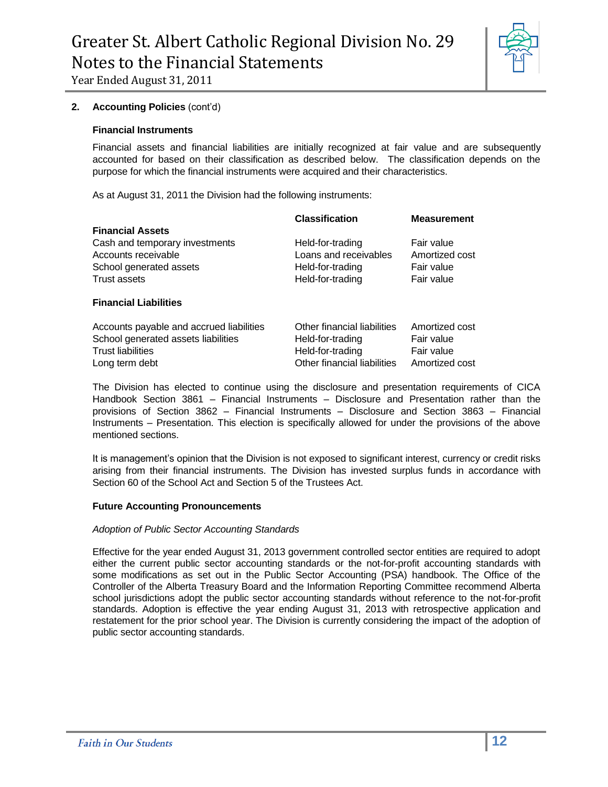

#### **2. Accounting Policies** (cont'd)

#### **Financial Instruments**

Financial assets and financial liabilities are initially recognized at fair value and are subsequently accounted for based on their classification as described below. The classification depends on the purpose for which the financial instruments were acquired and their characteristics.

As at August 31, 2011 the Division had the following instruments:

|                                                                                                                               | <b>Classification</b>                                                                              | <b>Measurement</b>                                           |
|-------------------------------------------------------------------------------------------------------------------------------|----------------------------------------------------------------------------------------------------|--------------------------------------------------------------|
| <b>Financial Assets</b>                                                                                                       |                                                                                                    |                                                              |
| Cash and temporary investments<br>Accounts receivable<br>School generated assets<br><b>Trust assets</b>                       | Held-for-trading<br>Loans and receivables<br>Held-for-trading<br>Held-for-trading                  | Fair value<br>Amortized cost<br>Fair value<br>Fair value     |
| <b>Financial Liabilities</b>                                                                                                  |                                                                                                    |                                                              |
| Accounts payable and accrued liabilities<br>School generated assets liabilities<br><b>Trust liabilities</b><br>Long term debt | Other financial liabilities<br>Held-for-trading<br>Held-for-trading<br>Other financial liabilities | Amortized cost<br>Fair value<br>Fair value<br>Amortized cost |

The Division has elected to continue using the disclosure and presentation requirements of CICA Handbook Section 3861 – Financial Instruments – Disclosure and Presentation rather than the provisions of Section 3862 – Financial Instruments – Disclosure and Section 3863 – Financial Instruments – Presentation. This election is specifically allowed for under the provisions of the above mentioned sections.

It is management's opinion that the Division is not exposed to significant interest, currency or credit risks arising from their financial instruments. The Division has invested surplus funds in accordance with Section 60 of the School Act and Section 5 of the Trustees Act.

#### **Future Accounting Pronouncements**

#### *Adoption of Public Sector Accounting Standards*

Effective for the year ended August 31, 2013 government controlled sector entities are required to adopt either the current public sector accounting standards or the not-for-profit accounting standards with some modifications as set out in the Public Sector Accounting (PSA) handbook. The Office of the Controller of the Alberta Treasury Board and the Information Reporting Committee recommend Alberta school jurisdictions adopt the public sector accounting standards without reference to the not-for-profit standards. Adoption is effective the year ending August 31, 2013 with retrospective application and restatement for the prior school year. The Division is currently considering the impact of the adoption of public sector accounting standards.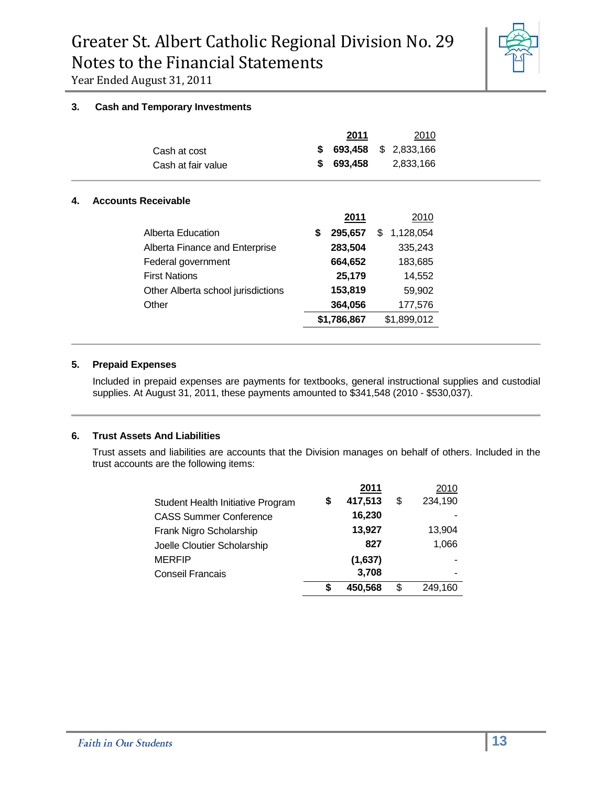

#### **3. Cash and Temporary Investments**

|    | Cash at cost<br>Cash at fair value | \$<br>\$ | 2011<br>693,458<br>693,458 | 2010<br>2,833,166<br>\$.<br>2,833,166 |
|----|------------------------------------|----------|----------------------------|---------------------------------------|
| 4. | <b>Accounts Receivable</b>         |          |                            |                                       |
|    |                                    |          | 2011                       | 2010                                  |
|    | Alberta Education                  | S        | 295,657                    | \$<br>1,128,054                       |
|    | Alberta Finance and Enterprise     |          | 283,504                    | 335,243                               |
|    | Federal government                 |          | 664,652                    | 183,685                               |
|    | <b>First Nations</b>               |          | 25,179                     | 14,552                                |
|    | Other Alberta school jurisdictions |          | 153,819                    | 59,902                                |
|    | Other                              |          | 364,056                    | 177,576                               |
|    |                                    |          | \$1,786,867                | \$1,899,012                           |
|    |                                    |          |                            |                                       |

#### **5. Prepaid Expenses**

Included in prepaid expenses are payments for textbooks, general instructional supplies and custodial supplies. At August 31, 2011, these payments amounted to \$341,548 (2010 - \$530,037).

#### **6. Trust Assets And Liabilities**

Trust assets and liabilities are accounts that the Division manages on behalf of others. Included in the trust accounts are the following items:

|   | 2011    | 2010          |
|---|---------|---------------|
| S | 417,513 | \$<br>234,190 |
|   | 16,230  |               |
|   | 13,927  | 13,904        |
|   | 827     | 1,066         |
|   | (1,637) |               |
|   | 3,708   |               |
| S | 450,568 | \$<br>249.160 |
|   |         |               |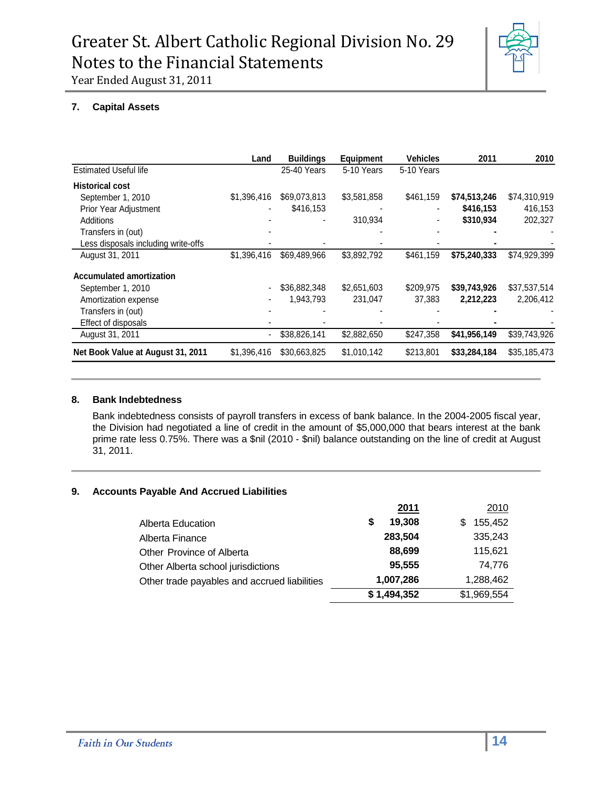

#### **7. Capital Assets**

|                                     | Land        | <b>Buildings</b> | <b>Equipment</b> | Vehicles   | 2011         | 2010         |
|-------------------------------------|-------------|------------------|------------------|------------|--------------|--------------|
| <b>Estimated Useful life</b>        |             | 25-40 Years      | 5-10 Years       | 5-10 Years |              |              |
| <b>Historical cost</b>              |             |                  |                  |            |              |              |
| September 1, 2010                   | \$1,396,416 | \$69,073,813     | \$3,581,858      | \$461,159  | \$74,513,246 | \$74,310,919 |
| Prior Year Adjustment               |             | \$416,153        |                  |            | \$416,153    | 416,153      |
| Additions                           |             |                  | 310,934          |            | \$310,934    | 202,327      |
| Transfers in (out)                  |             |                  |                  |            |              |              |
| Less disposals including write-offs |             |                  |                  |            |              |              |
| August 31, 2011                     | \$1,396,416 | \$69,489,966     | \$3,892,792      | \$461,159  | \$75,240,333 | \$74,929,399 |
| <b>Accumulated amortization</b>     |             |                  |                  |            |              |              |
| September 1, 2010                   |             | \$36,882,348     | \$2,651,603      | \$209,975  | \$39,743,926 | \$37,537,514 |
| Amortization expense                |             | 1,943,793        | 231,047          | 37,383     | 2,212,223    | 2,206,412    |
| Transfers in (out)                  |             |                  |                  |            |              |              |
| Effect of disposals                 |             |                  |                  |            |              |              |
| August 31, 2011                     |             | \$38,826,141     | \$2,882,650      | \$247,358  | \$41,956,149 | \$39,743,926 |
| Net Book Value at August 31, 2011   | \$1,396,416 | \$30,663,825     | \$1,010,142      | \$213,801  | \$33,284,184 | \$35,185,473 |

#### **8. Bank Indebtedness**

Bank indebtedness consists of payroll transfers in excess of bank balance. In the 2004-2005 fiscal year, the Division had negotiated a line of credit in the amount of \$5,000,000 that bears interest at the bank prime rate less 0.75%. There was a \$nil (2010 - \$nil) balance outstanding on the line of credit at August 31, 2011.

#### **9. Accounts Payable And Accrued Liabilities**

|                                              | 2011         | 2010         |
|----------------------------------------------|--------------|--------------|
| Alberta Education                            | 19,308<br>\$ | 155,452<br>S |
| Alberta Finance                              | 283,504      | 335,243      |
| Other Province of Alberta                    | 88,699       | 115,621      |
| Other Alberta school jurisdictions           | 95,555       | 74.776       |
| Other trade payables and accrued liabilities | 1,007,286    | 1,288,462    |
|                                              | \$1,494,352  | \$1,969,554  |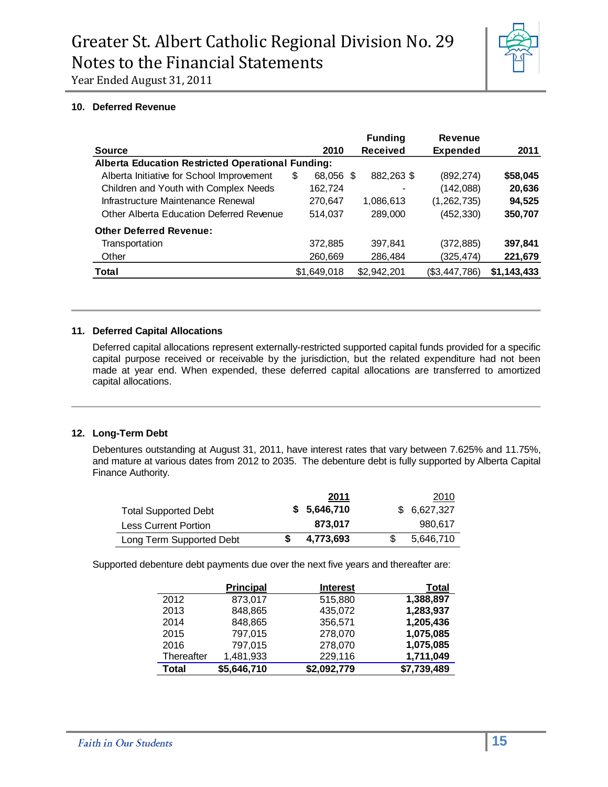

#### **10. Deferred Revenue**

|                                                          |   |             |    | <b>Funding</b>  | <b>Revenue</b>  |             |
|----------------------------------------------------------|---|-------------|----|-----------------|-----------------|-------------|
| <b>Source</b>                                            |   | 2010        |    | <b>Received</b> | <b>Expended</b> | 2011        |
| <b>Alberta Education Restricted Operational Funding:</b> |   |             |    |                 |                 |             |
| Alberta Initiative for School Improvement                | S | 68,056      | -S | 882,263 \$      | (892, 274)      | \$58,045    |
| Children and Youth with Complex Needs                    |   | 162,724     |    |                 | (142,088)       | 20,636      |
| Infrastructure Maintenance Renewal                       |   | 270,647     |    | 1,086,613       | (1, 262, 735)   | 94,525      |
| Other Alberta Education Deferred Revenue                 |   | 514.037     |    | 289,000         | (452, 330)      | 350,707     |
| <b>Other Deferred Revenue:</b>                           |   |             |    |                 |                 |             |
| Transportation                                           |   | 372,885     |    | 397,841         | (372, 885)      | 397,841     |
| Other                                                    |   | 260,669     |    | 286,484         | (325, 474)      | 221,679     |
| <b>Total</b>                                             |   | \$1,649,018 |    | \$2.942.201     | (\$3,447,786)   | \$1,143,433 |

#### **11. Deferred Capital Allocations**

Deferred capital allocations represent externally-restricted supported capital funds provided for a specific capital purpose received or receivable by the jurisdiction, but the related expenditure had not been made at year end. When expended, these deferred capital allocations are transferred to amortized capital allocations.

#### **12. Long-Term Debt**

Debentures outstanding at August 31, 2011, have interest rates that vary between 7.625% and 11.75%, and mature at various dates from 2012 to 2035. The debenture debt is fully supported by Alberta Capital Finance Authority.

|                             | 2011         | 2010        |
|-----------------------------|--------------|-------------|
| <b>Total Supported Debt</b> | \$ 5,646,710 | \$6,627,327 |
| Less Current Portion        | 873.017      | 980.617     |
| Long Term Supported Debt    | 4,773,693    | 5,646,710   |

Supported debenture debt payments due over the next five years and thereafter are:

|            | <b>Principal</b> | <b>Interest</b> | Total       |
|------------|------------------|-----------------|-------------|
| 2012       | 873,017          | 515,880         | 1,388,897   |
| 2013       | 848,865          | 435,072         | 1,283,937   |
| 2014       | 848,865          | 356,571         | 1,205,436   |
| 2015       | 797,015          | 278,070         | 1,075,085   |
| 2016       | 797,015          | 278,070         | 1,075,085   |
| Thereafter | 1,481,933        | 229,116         | 1,711,049   |
| Total      | \$5,646,710      | \$2,092,779     | \$7,739,489 |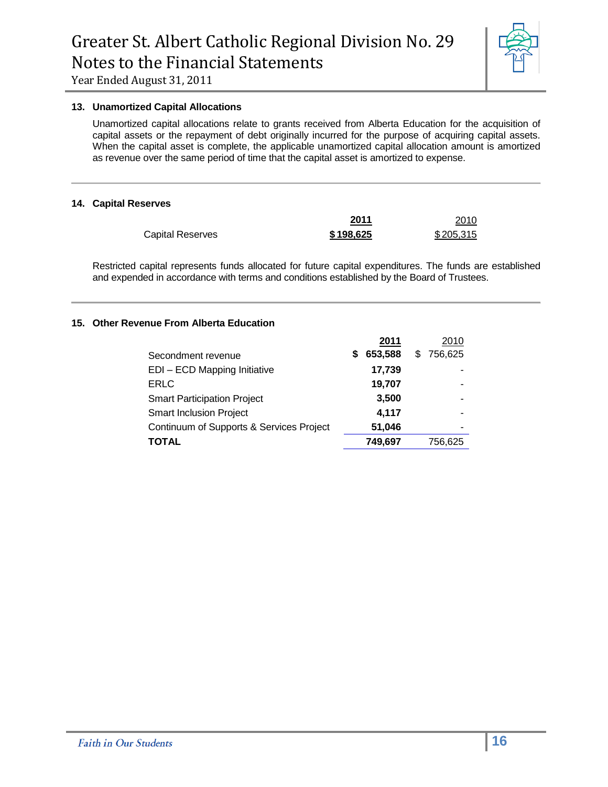

#### **13. Unamortized Capital Allocations**

Unamortized capital allocations relate to grants received from Alberta Education for the acquisition of capital assets or the repayment of debt originally incurred for the purpose of acquiring capital assets. When the capital asset is complete, the applicable unamortized capital allocation amount is amortized as revenue over the same period of time that the capital asset is amortized to expense.

#### **14. Capital Reserves**

|                  | 2011      | 2010      |
|------------------|-----------|-----------|
| Capital Reserves | \$198,625 | \$205,315 |

Restricted capital represents funds allocated for future capital expenditures. The funds are established and expended in accordance with terms and conditions established by the Board of Trustees.

#### **15. Other Revenue From Alberta Education**

|                                          |   | 2011    | 2010      |
|------------------------------------------|---|---------|-----------|
| Secondment revenue                       | S | 653,588 | \$756,625 |
| EDI - ECD Mapping Initiative             |   | 17,739  |           |
| ERLC                                     |   | 19,707  |           |
| <b>Smart Participation Project</b>       |   | 3,500   |           |
| <b>Smart Inclusion Project</b>           |   | 4,117   |           |
| Continuum of Supports & Services Project |   | 51,046  |           |
| <b>TOTAL</b>                             |   | 749,697 | 756,625   |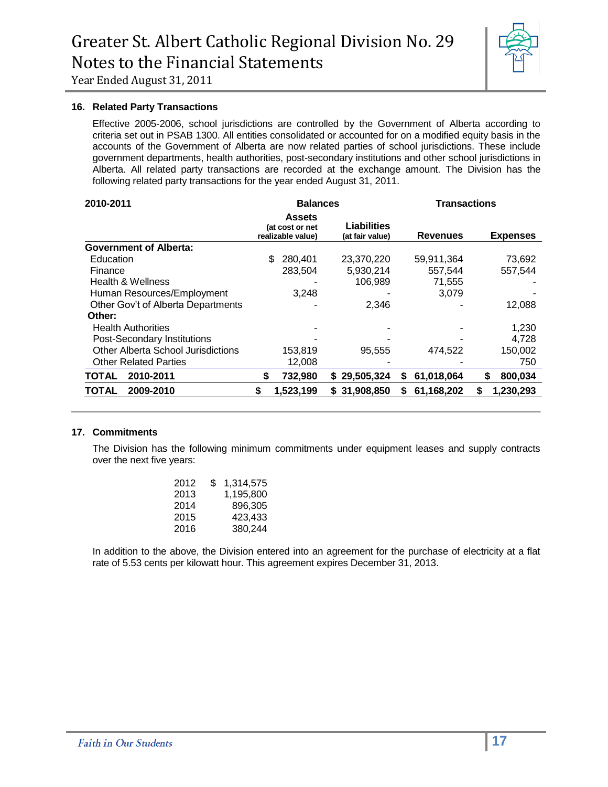

#### **16. Related Party Transactions**

Effective 2005-2006, school jurisdictions are controlled by the Government of Alberta according to criteria set out in PSAB 1300. All entities consolidated or accounted for on a modified equity basis in the accounts of the Government of Alberta are now related parties of school jurisdictions. These include government departments, health authorities, post-secondary institutions and other school jurisdictions in Alberta. All related party transactions are recorded at the exchange amount. The Division has the following related party transactions for the year ended August 31, 2011.

| 2010-2011                                 | <b>Balances</b>                                       |                                       | <b>Transactions</b> |                 |  |
|-------------------------------------------|-------------------------------------------------------|---------------------------------------|---------------------|-----------------|--|
|                                           | <b>Assets</b><br>(at cost or net<br>realizable value) | <b>Liabilities</b><br>(at fair value) | <b>Revenues</b>     | <b>Expenses</b> |  |
| <b>Government of Alberta:</b>             |                                                       |                                       |                     |                 |  |
| Education                                 | \$<br>280,401                                         | 23,370,220                            | 59,911,364          | 73,692          |  |
| Finance                                   | 283.504                                               | 5,930,214                             | 557.544             | 557.544         |  |
| Health & Wellness                         |                                                       | 106,989                               | 71,555              |                 |  |
| Human Resources/Employment                | 3,248                                                 |                                       | 3,079               |                 |  |
| Other Gov't of Alberta Departments        |                                                       | 2,346                                 |                     | 12,088          |  |
| Other:                                    |                                                       |                                       |                     |                 |  |
| <b>Health Authorities</b>                 |                                                       |                                       |                     | 1,230           |  |
| Post-Secondary Institutions               |                                                       |                                       |                     | 4.728           |  |
| <b>Other Alberta School Jurisdictions</b> | 153,819                                               | 95.555                                | 474.522             | 150,002         |  |
| <b>Other Related Parties</b>              | 12,008                                                |                                       |                     | 750             |  |
| 2010-2011<br><b>TOTAL</b>                 | 732,980<br>S                                          | \$29,505,324                          | 61,018,064<br>S     | 800,034<br>S    |  |
| <b>TOTAL</b><br>2009-2010                 | \$<br>1,523,199                                       | \$31,908,850                          | 61,168,202<br>S     | 1,230,293<br>S  |  |

#### **17. Commitments**

The Division has the following minimum commitments under equipment leases and supply contracts over the next five years:

| 2012 | S. | 1,314,575 |
|------|----|-----------|
| 2013 |    | 1,195,800 |
| 2014 |    | 896,305   |
| 2015 |    | 423,433   |
| 2016 |    | 380,244   |
|      |    |           |

In addition to the above, the Division entered into an agreement for the purchase of electricity at a flat rate of 5.53 cents per kilowatt hour. This agreement expires December 31, 2013.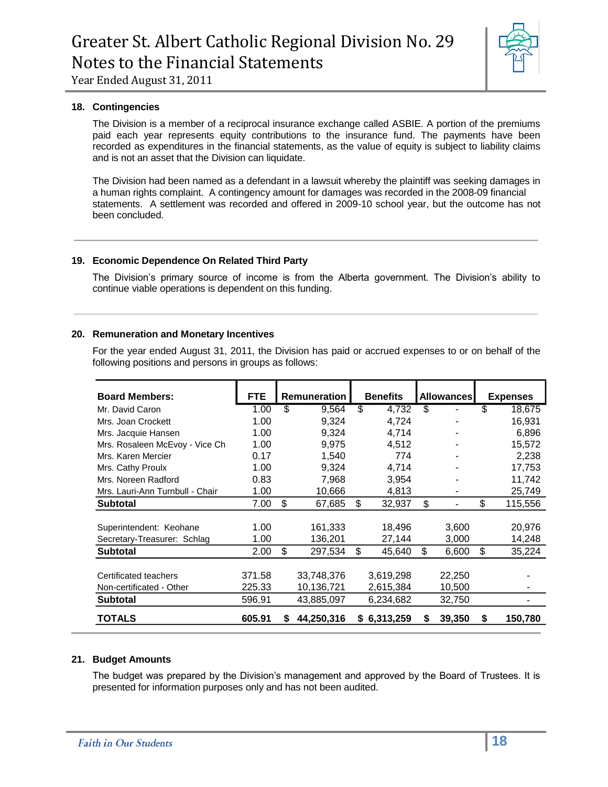

#### **18. Contingencies**

The Division is a member of a reciprocal insurance exchange called ASBIE. A portion of the premiums paid each year represents equity contributions to the insurance fund. The payments have been recorded as expenditures in the financial statements, as the value of equity is subject to liability claims and is not an asset that the Division can liquidate.

The Division had been named as a defendant in a lawsuit whereby the plaintiff was seeking damages in a human rights complaint. A contingency amount for damages was recorded in the 2008-09 financial statements. A settlement was recorded and offered in 2009-10 school year, but the outcome has not been concluded.

#### **19. Economic Dependence On Related Third Party**

The Division's primary source of income is from the Alberta government. The Division's ability to continue viable operations is dependent on this funding.

#### **20. Remuneration and Monetary Incentives**

For the year ended August 31, 2011, the Division has paid or accrued expenses to or on behalf of the following positions and persons in groups as follows:

| <b>Board Members:</b>           | <b>FTE</b> |    | <b>Remuneration</b> |    | <b>Benefits</b> |    | <b>Allowances</b> |    | <b>Expenses</b> |  |
|---------------------------------|------------|----|---------------------|----|-----------------|----|-------------------|----|-----------------|--|
| Mr. David Caron                 | 1.00       | \$ | 9.564               | \$ | 4,732           | \$ |                   | \$ | 18,675          |  |
| Mrs. Joan Crockett              | 1.00       |    | 9,324               |    | 4,724           |    |                   |    | 16,931          |  |
| Mrs. Jacquie Hansen             | 1.00       |    | 9.324               |    | 4,714           |    |                   |    | 6,896           |  |
| Mrs. Rosaleen McEvoy - Vice Ch  | 1.00       |    | 9.975               |    | 4,512           |    |                   |    | 15,572          |  |
| Mrs. Karen Mercier              | 0.17       |    | 1.540               |    | 774             |    |                   |    | 2.238           |  |
| Mrs. Cathy Proulx               | 1.00       |    | 9,324               |    | 4,714           |    |                   |    | 17,753          |  |
| Mrs. Noreen Radford             | 0.83       |    | 7,968               |    | 3,954           |    |                   |    | 11,742          |  |
| Mrs. Lauri-Ann Turnbull - Chair | 1.00       |    | 10,666              |    | 4,813           |    |                   |    | 25,749          |  |
| <b>Subtotal</b>                 | 7.00       | \$ | 67,685              | \$ | 32,937          | \$ | ٠                 | \$ | 115,556         |  |
|                                 |            |    |                     |    |                 |    |                   |    |                 |  |
| Superintendent: Keohane         | 1.00       |    | 161,333             |    | 18,496          |    | 3,600             |    | 20,976          |  |
| Secretary-Treasurer: Schlag     | 1.00       |    | 136,201             |    | 27,144          |    | 3,000             |    | 14,248          |  |
| <b>Subtotal</b>                 | 2.00       | \$ | 297,534             | \$ | 45,640          | \$ | 6,600             | \$ | 35,224          |  |
| Certificated teachers           | 371.58     |    | 33,748,376          |    | 3,619,298       |    | 22,250            |    |                 |  |
|                                 |            |    |                     |    |                 |    |                   |    |                 |  |
| Non-certificated - Other        | 225.33     |    | 10.136.721          |    | 2,615,384       |    | 10,500            |    |                 |  |
| <b>Subtotal</b>                 | 596.91     |    | 43,885,097          |    | 6,234,682       |    | 32,750            |    |                 |  |
| TOTALS                          | 605.91     | S  | 44,250,316          | S. | 6,313,259       | S  | 39,350            | S  | 150,780         |  |

#### **21. Budget Amounts**

The budget was prepared by the Division's management and approved by the Board of Trustees. It is presented for information purposes only and has not been audited.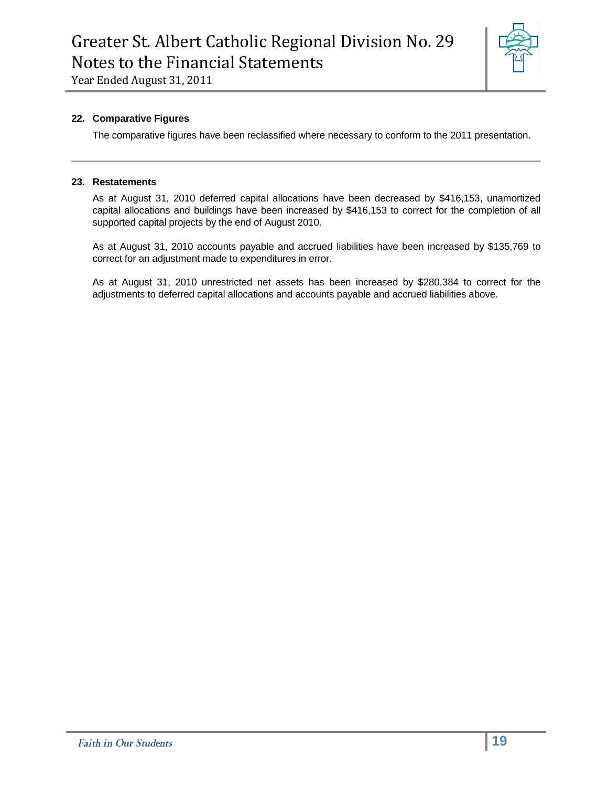

#### **22. Comparative Figures**

The comparative figures have been reclassified where necessary to conform to the 2011 presentation.

#### **23. Restatements**

As at August 31, 2010 deferred capital allocations have been decreased by \$416,153, unamortized capital allocations and buildings have been increased by \$416,153 to correct for the completion of all supported capital projects by the end of August 2010.

As at August 31, 2010 accounts payable and accrued liabilities have been increased by \$135,769 to correct for an adjustment made to expenditures in error.

As at August 31, 2010 unrestricted net assets has been increased by \$280,384 to correct for the adjustments to deferred capital allocations and accounts payable and accrued liabilities above.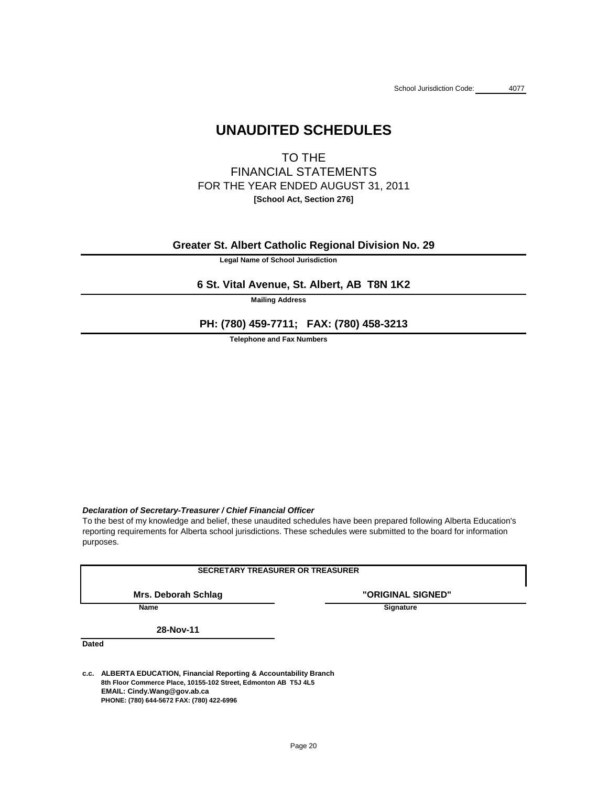# **UNAUDITED SCHEDULES**

TO THE FINANCIAL STATEMENTS FOR THE YEAR ENDED AUGUST 31, 2011 **[School Act, Section 276]**

**Legal Name of School Jurisdiction**

**Mailing Address**

**Telephone and Fax Numbers**

## *Declaration of Secretary-Treasurer / Chief Financial Officer*

**"ORIGINAL SIGNED"** 

**Name** Signature

**Dated**

reporting requirements for Alberta school jurisdictions. These schedules were submitted to the board for information To the best of my knowledge and belief, these unaudited schedules have been prepared following Alberta Education's

**c.c. ALBERTA EDUCATION, Financial Reporting & Accountability Branch 8th Floor Commerce Place, 10155-102 Street, Edmonton AB T5J 4L5 EMAIL: Cindy.Wang@gov.ab.ca PHONE: (780) 644-5672 FAX: (780) 422-6996**

**28-Nov-11**

purposes.

## **SECRETARY TREASURER OR TREASURER**

**Mrs. Deborah Schlag**

**Greater St. Albert Catholic Regional Division No. 29**

# **6 St. Vital Avenue, St. Albert, AB T8N 1K2**

**PH: (780) 459-7711; FAX: (780) 458-3213**

Page 20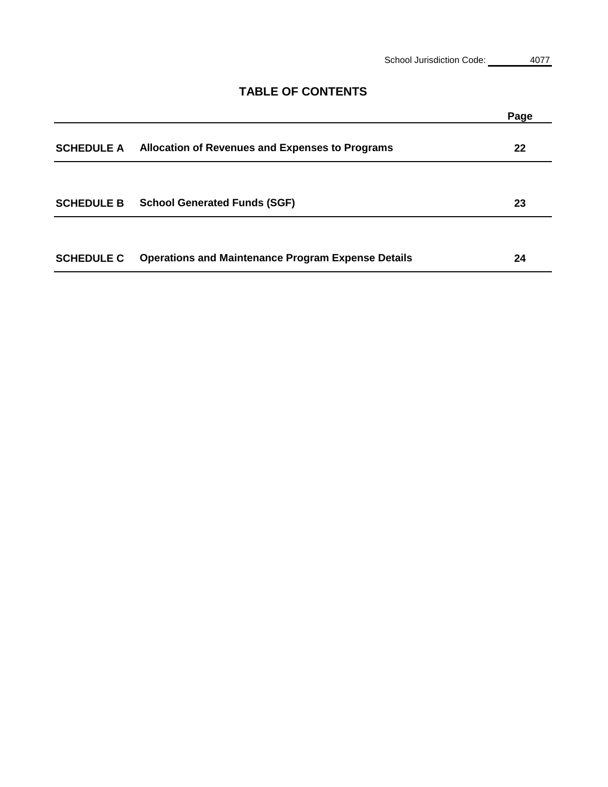# **Page SCHEDULE A 22 Allocation of Revenues and Expenses to Programs SCHEDULE B 23 School Generated Funds (SGF) SCHEDULE C 24 Operations and Maintenance Program Expense Details**

# **TABLE OF CONTENTS**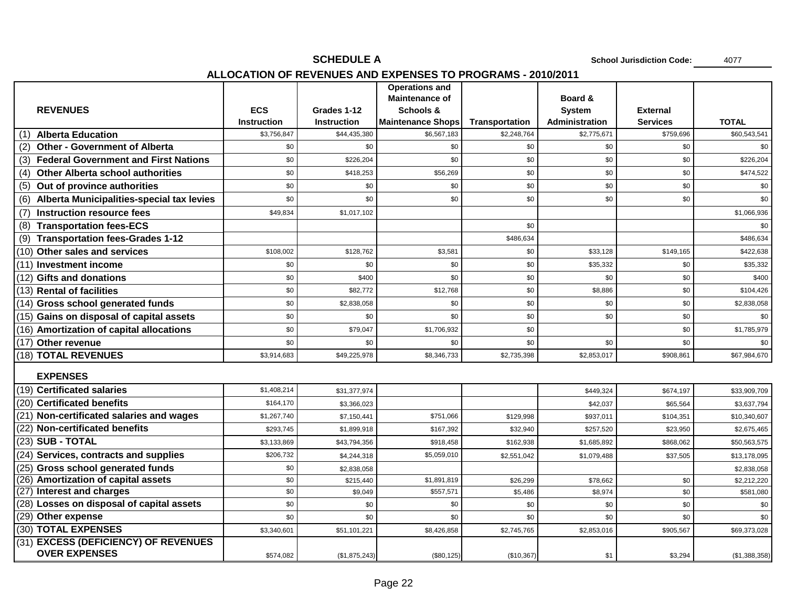# **SCHEDULE A** 4077 **ALLOCATION OF REVENUES AND EXPENSES TO PROGRAMS - 2010/2011**

|                                                  |                                   |                                    | <b>Operations and</b>                   |                                      |                                        |                              |               |
|--------------------------------------------------|-----------------------------------|------------------------------------|-----------------------------------------|--------------------------------------|----------------------------------------|------------------------------|---------------|
|                                                  |                                   |                                    | <b>Maintenance of</b>                   |                                      | <b>Board &amp;</b>                     |                              |               |
| <b>REVENUES</b>                                  | <b>ECS</b>                        | Grades 1-12                        | <b>Schools &amp;</b>                    |                                      | <b>System</b><br><b>Administration</b> | <b>External</b>              | <b>TOTAL</b>  |
| <b>Alberta Education</b><br>(1)                  | <b>Instruction</b><br>\$3,756,847 | <b>Instruction</b><br>\$44,435,380 | <b>Maintenance Shops</b><br>\$6,567,183 | <b>Transportation</b><br>\$2,248,764 | \$2,775,671                            | <b>Services</b><br>\$759,696 | \$60,543,541  |
| <b>Other - Government of Alberta</b><br>(2)      | \$0                               | \$0                                | \$0                                     | \$0                                  | \$0                                    | \$0                          | \$0           |
| (3) Federal Government and First Nations         | \$0                               | \$226,204                          | \$0                                     | \$0                                  | \$0                                    | \$0                          | \$226,204     |
| <b>Other Alberta school authorities</b>          | \$0                               | \$418,253                          | \$56,269                                | \$0                                  | \$0                                    | \$0                          | \$474,522     |
| (4)<br>Out of province authorities<br>(5)        | \$0                               | \$0                                | \$0                                     | \$0                                  | \$0                                    | \$0                          | \$0           |
| <b>Alberta Municipalities-special tax levies</b> | \$0                               | \$0                                | \$0                                     | \$0                                  | \$0                                    | \$0                          | \$0           |
| (6)                                              |                                   |                                    |                                         |                                      |                                        |                              |               |
| <b>Instruction resource fees</b><br>(7)          | \$49,834                          | \$1,017,102                        |                                         |                                      |                                        |                              | \$1,066,936   |
| <b>Transportation fees-ECS</b><br>(8)            |                                   |                                    |                                         | \$0                                  |                                        |                              | \$0           |
| <b>Transportation fees-Grades 1-12</b><br>(9)    |                                   |                                    |                                         | \$486,634                            |                                        |                              | \$486,634     |
| $(10)$ Other sales and services                  | \$108,002                         | \$128,762                          | \$3,581                                 | \$0                                  | \$33,128                               | \$149,165                    | \$422,638     |
| (11) Investment income                           | \$0                               | \$0                                | \$0                                     | \$0                                  | \$35,332                               | \$0                          | \$35,332      |
| $(12)$ Gifts and donations                       | \$0                               | \$400                              | \$0                                     | \$0                                  | \$0                                    | \$0                          | \$400         |
| $(13)$ Rental of facilities                      | \$0                               | \$82,772                           | \$12,768                                | \$0                                  | \$8,886                                | \$0                          | \$104,426     |
| (14) Gross school generated funds                | \$0                               | \$2,838,058                        | \$0                                     | \$0                                  | \$0                                    | \$0                          | \$2,838,058   |
| $(15)$ Gains on disposal of capital assets       | \$0                               | \$0                                | \$0                                     | \$0                                  | \$0                                    | \$0                          | \$0           |
| $(16)$ Amortization of capital allocations       | \$0                               | \$79,047                           | \$1,706,932                             | \$0                                  |                                        | \$0                          | \$1,785,979   |
| (17) Other revenue                               | \$0                               | \$0                                | \$0                                     | \$0                                  | \$0                                    | \$0                          | \$0           |
| (18) TOTAL REVENUES                              | \$3,914,683                       | \$49,225,978                       | \$8,346,733                             | \$2,735,398                          | \$2,853,017                            | \$908,861                    | \$67,984,670  |
| <b>EXPENSES</b>                                  |                                   |                                    |                                         |                                      |                                        |                              |               |
| (19) Certificated salaries                       | \$1,408,214                       | \$31,377,974                       |                                         |                                      | \$449,324                              | \$674,197                    | \$33,909,709  |
| (20) Certificated benefits                       | \$164,170                         | \$3,366,023                        |                                         |                                      | \$42,037                               | \$65,564                     | \$3,637,794   |
| $(21)$ Non-certificated salaries and wages       | \$1,267,740                       | \$7,150,441                        | \$751,066                               | \$129,998                            | \$937,011                              | \$104,351                    | \$10,340,607  |
| (22) Non-certificated benefits                   | \$293,745                         | \$1,899,918                        | \$167,392                               | \$32,940                             | \$257,520                              | \$23,950                     | \$2,675,465   |
| $(23)$ SUB - TOTAL                               | \$3,133,869                       | \$43,794,356                       | \$918,458                               | \$162,938                            | \$1,685,892                            | \$868,062                    | \$50,563,575  |
| $(24)$ Services, contracts and supplies          | \$206,732                         | \$4,244,318                        | \$5,059,010                             | \$2,551,042                          | \$1,079,488                            | \$37,505                     | \$13,178,095  |
| (25) Gross school generated funds                | \$0                               | \$2,838,058                        |                                         |                                      |                                        |                              | \$2,838,058   |
| $(26)$ Amortization of capital assets            | \$0                               | \$215,440                          | \$1,891,819                             | \$26,299                             | \$78,662                               | \$0                          | \$2,212,220   |
| (27) Interest and charges                        | \$0                               | \$9,049                            | \$557,571                               | \$5,486                              | \$8,974                                | \$0                          | \$581,080     |
| (28) Losses on disposal of capital assets        | \$0                               | \$0                                | \$0                                     | \$0                                  | \$0                                    | \$0                          | \$0           |
| $(29)$ Other expense                             | \$0                               | \$0                                | \$0                                     | \$0                                  | \$0                                    | \$0                          | \$0           |
| (30) TOTAL EXPENSES                              | \$3,340,601                       | \$51,101,221                       | \$8,426,858                             | \$2,745,765                          | \$2,853,016                            | \$905,567                    | \$69,373,028  |
| (31) EXCESS (DEFICIENCY) OF REVENUES             |                                   |                                    |                                         |                                      |                                        |                              |               |
| <b>OVER EXPENSES</b>                             | \$574,082                         | (\$1,875,243)                      | $(\$80, 125)$                           | (\$10,367)                           | \$1                                    | \$3,294                      | (\$1,388,358) |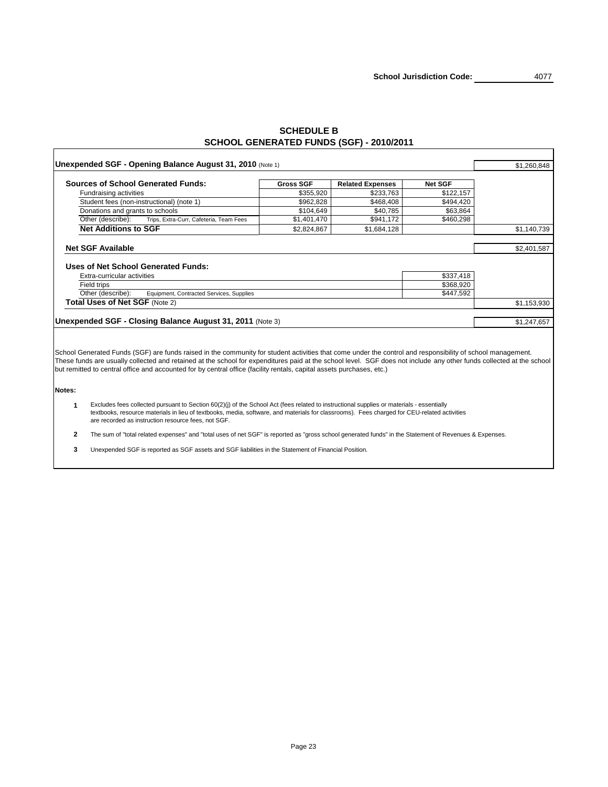# **SCHEDULE B SCHOOL GENERATED FUNDS (SGF) - 2010/2011**

Г

|                                 | <b>Unexpended SGF - Opening Balance August 31, 2010 (Note 1)</b>                                                                                                                                                                                                                                                                                                                                                                                            |                  |                         |                | \$1,260,848 |
|---------------------------------|-------------------------------------------------------------------------------------------------------------------------------------------------------------------------------------------------------------------------------------------------------------------------------------------------------------------------------------------------------------------------------------------------------------------------------------------------------------|------------------|-------------------------|----------------|-------------|
|                                 | <b>Sources of School Generated Funds:</b>                                                                                                                                                                                                                                                                                                                                                                                                                   | <b>Gross SGF</b> | <b>Related Expenses</b> | <b>Net SGF</b> |             |
| <b>Fundraising activities</b>   |                                                                                                                                                                                                                                                                                                                                                                                                                                                             | \$355,920        | \$233,763               | \$122,157      |             |
|                                 | Student fees (non-instructional) (note 1)                                                                                                                                                                                                                                                                                                                                                                                                                   | \$962,828        | \$468,408               | \$494,420      |             |
| Donations and grants to schools |                                                                                                                                                                                                                                                                                                                                                                                                                                                             | \$104,649        | \$40,785                | \$63,864       |             |
| Other (describe):               | Trips, Extra-Curr, Cafeteria, Team Fees                                                                                                                                                                                                                                                                                                                                                                                                                     | \$1,401,470      | \$941,172               | \$460,298      |             |
| <b>Net Additions to SGF</b>     |                                                                                                                                                                                                                                                                                                                                                                                                                                                             | \$2,824,867      | \$1,684,128             |                | \$1,140,739 |
| <b>Net SGF Available</b>        |                                                                                                                                                                                                                                                                                                                                                                                                                                                             |                  |                         |                | \$2,401,587 |
| Extra-curricular activities     | <b>Uses of Net School Generated Funds:</b>                                                                                                                                                                                                                                                                                                                                                                                                                  |                  |                         | \$337,418      |             |
| Field trips                     |                                                                                                                                                                                                                                                                                                                                                                                                                                                             |                  |                         | \$368,920      |             |
| Other (describe):               | Equipment, Contracted Services, Supplies                                                                                                                                                                                                                                                                                                                                                                                                                    |                  |                         | \$447,592      |             |
| Total Uses of Net SGF (Note 2)  |                                                                                                                                                                                                                                                                                                                                                                                                                                                             |                  |                         |                | \$1,153,930 |
|                                 |                                                                                                                                                                                                                                                                                                                                                                                                                                                             |                  |                         |                |             |
|                                 | <b>Unexpended SGF - Closing Balance August 31, 2011 (Note 3)</b>                                                                                                                                                                                                                                                                                                                                                                                            |                  |                         |                | \$1,247,657 |
| Notes:                          | School Generated Funds (SGF) are funds raised in the community for student activities that come under the control and responsibility of school management.<br>These funds are usually collected and retained at the school for expenditures paid at the school level. SGF does not include any other funds collected at the school<br>but remitted to central office and accounted for by central office (facility rentals, capital assets purchases, etc.) |                  |                         |                |             |
|                                 |                                                                                                                                                                                                                                                                                                                                                                                                                                                             |                  |                         |                |             |
| 1                               | Excludes fees collected pursuant to Section 60(2)(j) of the School Act (fees related to instructional supplies or materials - essentially<br>textbooks, resource materials in lieu of textbooks, media, software, and materials for classrooms). Fees charged for CEU-related activities<br>are recorded as instruction resource fees, not SGF.                                                                                                             |                  |                         |                |             |
| $\mathbf{2}$                    | The sum of "total related expenses" and "total uses of net SGF" is reported as "gross school generated funds" in the Statement of Revenues & Expenses.                                                                                                                                                                                                                                                                                                      |                  |                         |                |             |
| $\mathbf{3}$                    | Unexpended SGF is reported as SGF assets and SGF liabilities in the Statement of Financial Position.                                                                                                                                                                                                                                                                                                                                                        |                  |                         |                |             |